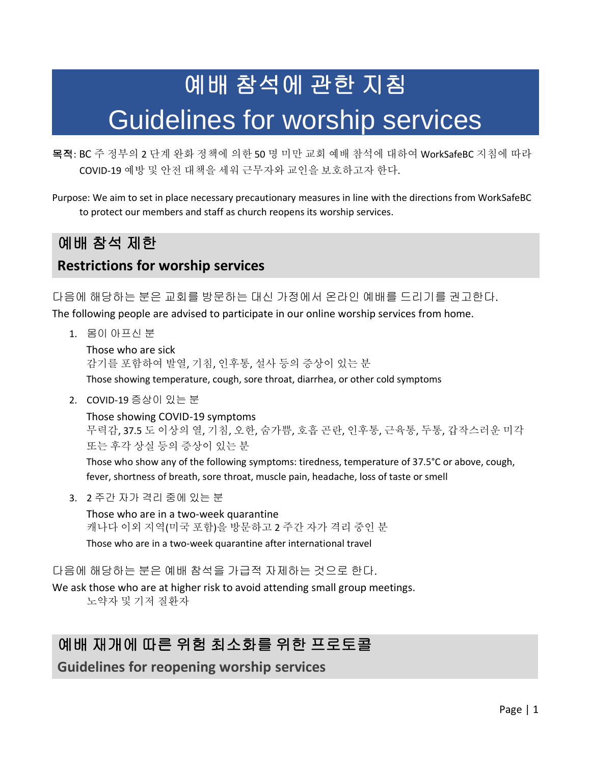# 예배 참석에 관한 지침 Guidelines for worship services

목적: BC 주 정부의 2 단계 완화 정책에 의한 50 명 미만 교회 예배 참석에 대하여 WorkSafeBC 지침에 따라 COVID-19 예방 및 안전 대책을 세워 근무자와 교인을 보호하고자 한다.

Purpose: We aim to set in place necessary precautionary measures in line with the directions from WorkSafeBC to protect our members and staff as church reopens its worship services.

# 예배 참석 제한 **Restrictions for worship services**

다음에 해당하는 분은 교회를 방문하는 대신 가정에서 온라인 예배를 드리기를 권고한다.

The following people are advised to participate in our online worship services from home.

1. 몸이 아프신 분

Those who are sick 감기를 포함하여 발열, 기침, 인후통, 설사 등의 증상이 있는 분 Those showing temperature, cough, sore throat, diarrhea, or other cold symptoms

2. COVID-19 증상이 있는 분

Those showing COVID-19 symptoms 무력감, 37.5 도 이상의 열, 기침, 오한, 숨가쁨, 호흡 곤란, 인후통, 근육통, 두통, 갑작스러운 미각 또는 후각 상실 등의 증상이 있는 분

Those who show any of the following symptoms: tiredness, temperature of 37.5°C or above, cough, fever, shortness of breath, sore throat, muscle pain, headache, loss of taste or smell

3. 2 주간 자가 격리 중에 있는 분

Those who are in a two-week quarantine 캐나다 이외 지역(미국 포함)을 방문하고 2 주간 자가 격리 중인 분 Those who are in a two-week quarantine after international travel

다음에 해당하는 분은 예배 참석을 가급적 자제하는 것으로 한다.

We ask those who are at higher risk to avoid attending small group meetings. 노약자 및 기저 질환자

# 예배 재개에 따른 위험 최소화를 위한 프로토콜

**Guidelines for reopening worship services**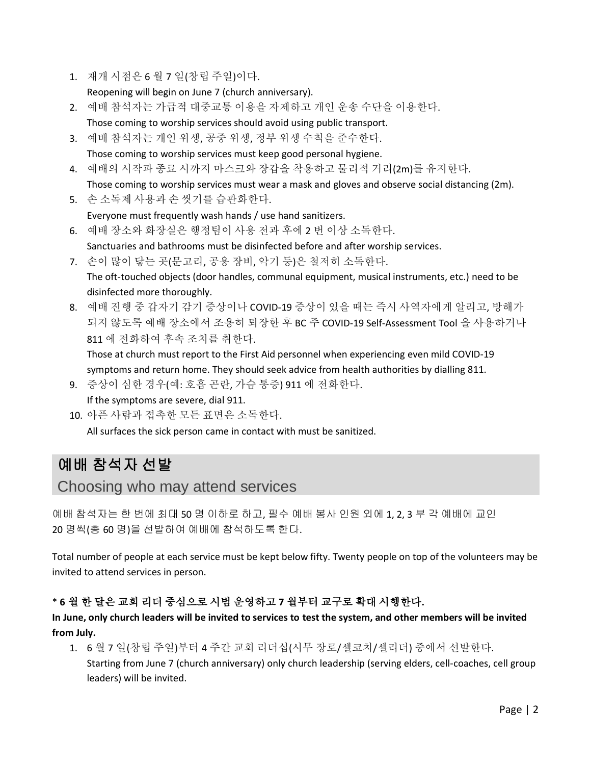1. 재개 시점은 6 월 7 일(창립 주일)이다.

Reopening will begin on June 7 (church anniversary).

- 2. 예배 참석자는 가급적 대중교통 이용을 자제하고 개인 운송 수단을 이용한다. Those coming to worship services should avoid using public transport.
- 3. 예배 참석자는 개인 위생, 공중 위생, 정부 위생 수칙을 준수한다. Those coming to worship services must keep good personal hygiene.
- 4. 예배의 시작과 종료 시까지 마스크와 장갑을 착용하고 물리적 거리(2m)를 유지한다. Those coming to worship services must wear a mask and gloves and observe social distancing (2m).
- 5. 손 소독제 사용과 손 씻기를 습관화한다.

Everyone must frequently wash hands / use hand sanitizers.

6. 예배 장소와 화장실은 행정팀이 사용 전과 후에 2 번 이상 소독한다.

Sanctuaries and bathrooms must be disinfected before and after worship services.

- 7. 손이 많이 닿는 곳(문고리, 공용 장비, 악기 등)은 철저히 소독한다. The oft-touched objects (door handles, communal equipment, musical instruments, etc.) need to be disinfected more thoroughly.
- 8. 예배 진행 중 갑자기 감기 증상이나 COVID-19 증상이 있을 때는 즉시 사역자에게 알리고, 방해가 되지 않도록 예배 장소에서 조용히 퇴장한 후 BC 주 COVID-19 Self-Assessment Tool 을 사용하거나 811 에 전화하여 후속 조치를 취한다.

Those at church must report to the First Aid personnel when experiencing even mild COVID-19 symptoms and return home. They should seek advice from health authorities by dialling 811.

9. 증상이 심한 경우(예: 호흡 곤란, 가슴 통증) 911 에 전화한다.

If the symptoms are severe, dial 911.

10. 아픈 사람과 접촉한 모든 표면은 소독한다.

All surfaces the sick person came in contact with must be sanitized.

# 예배 참석자 선발

Choosing who may attend services

예배 참석자는 한 번에 최대 50 명 이하로 하고, 필수 예배 봉사 인원 외에 1, 2, 3 부 각 예배에 교인 20 명씩(총 60 명)을 선발하여 예배에 참석하도록 한다.

Total number of people at each service must be kept below fifty. Twenty people on top of the volunteers may be invited to attend services in person.

#### \* **6** 월 한 달은 교회 리더 중심으로 시범 운영하고 **7** 월부터 교구로 확대 시행한다**.**

**In June, only church leaders will be invited to services to test the system, and other members will be invited from July.**

- 1. 6 월 7 일(창립 주일)부터 4 주간 교회 리더십(시무 장로/셀코치/셀리더) 중에서 선발한다.
	- Starting from June 7 (church anniversary) only church leadership (serving elders, cell-coaches, cell group leaders) will be invited.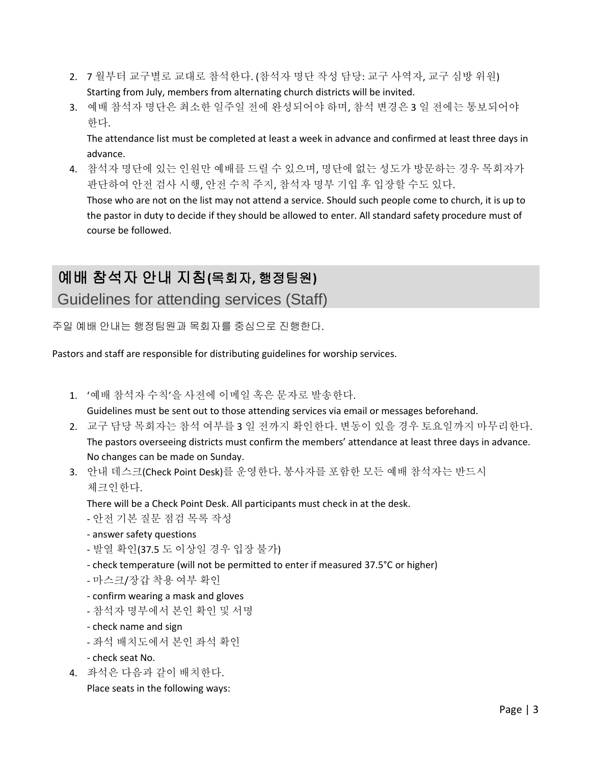- 2. 7 월부터 교구별로 교대로 참석한다. (참석자 명단 작성 담당: 교구 사역자, 교구 심방 위원) Starting from July, members from alternating church districts will be invited.
- 3. 예배 참석자 명단은 최소한 일주일 전에 완성되어야 하며, 참석 변경은 3 일 전에는 통보되어야 한다.

The attendance list must be completed at least a week in advance and confirmed at least three days in advance.

4. 참석자 명단에 있는 인원만 예배를 드릴 수 있으며, 명단에 없는 성도가 방문하는 경우 목회자가 판단하여 안전 검사 시행, 안전 수칙 주지, 참석자 명부 기입 후 입장할 수도 있다. Those who are not on the list may not attend a service. Should such people come to church, it is up to the pastor in duty to decide if they should be allowed to enter. All standard safety procedure must of course be followed.

# 예배 참석자 안내 지침**(**목회자**,** 행정팀원**)**

Guidelines for attending services (Staff)

주일 예배 안내는 행정팀원과 목회자를 중심으로 진행한다.

Pastors and staff are responsible for distributing guidelines for worship services.

1. '예배 참석자 수칙'을 사전에 이메일 혹은 문자로 발송한다.

Guidelines must be sent out to those attending services via email or messages beforehand.

- 2. 교구 담당 목회자는 참석 여부를 3 일 전까지 확인한다. 변동이 있을 경우 토요일까지 마무리한다. The pastors overseeing districts must confirm the members' attendance at least three days in advance. No changes can be made on Sunday.
- 3. 안내 데스크(Check Point Desk)를 운영한다. 봉사자를 포함한 모든 예배 참석자는 반드시 체크인한다.

There will be a Check Point Desk. All participants must check in at the desk.

- 안전 기본 질문 점검 목록 작성
- answer safety questions
- 발열 확인(37.5 도 이상일 경우 입장 불가)
- check temperature (will not be permitted to enter if measured 37.5°C or higher)
- 마스크/장갑 착용 여부 확인
- confirm wearing a mask and gloves
- 참석자 명부에서 본인 확인 및 서명
- check name and sign
- 좌석 배치도에서 본인 좌석 확인
- check seat No.
- 4. 좌석은 다음과 같이 배치한다.

Place seats in the following ways: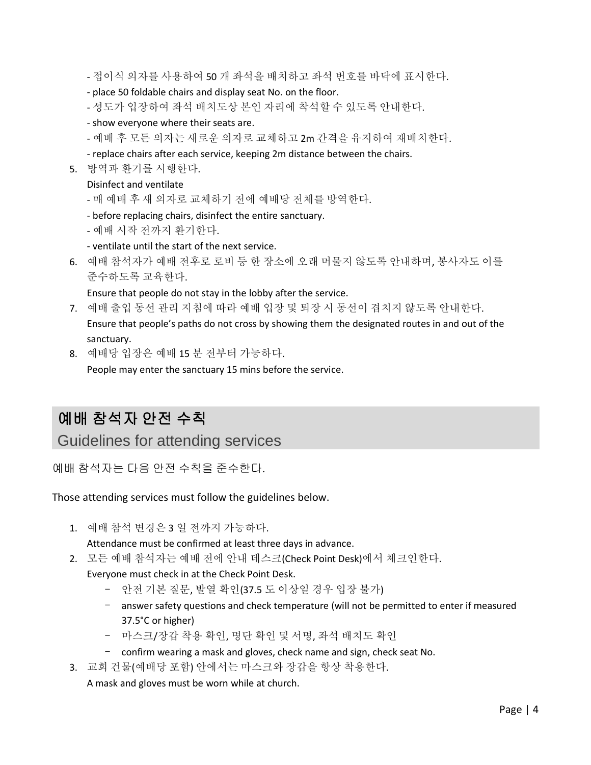- 접이식 의자를 사용하여 50 개 좌석을 배치하고 좌석 번호를 바닥에 표시한다.

- place 50 foldable chairs and display seat No. on the floor.
- 성도가 입장하여 좌석 배치도상 본인 자리에 착석할 수 있도록 안내한다.
- show everyone where their seats are.
- 예배 후 모든 의자는 새로운 의자로 교체하고 2m 간격을 유지하여 재배치한다.
- replace chairs after each service, keeping 2m distance between the chairs.
- 5. 방역과 환기를 시행한다.

#### Disinfect and ventilate

- 매 예배 후 새 의자로 교체하기 전에 예배당 전체를 방역한다.
- before replacing chairs, disinfect the entire sanctuary.
- 예배 시작 전까지 환기한다.
- ventilate until the start of the next service.
- 6. 예배 참석자가 예배 전후로 로비 등 한 장소에 오래 머물지 않도록 안내하며, 봉사자도 이를 준수하도록 교육한다.

Ensure that people do not stay in the lobby after the service.

- 7. 예배 출입 동선 관리 지침에 따라 예배 입장 및 퇴장 시 동선이 겹치지 않도록 안내한다. Ensure that people's paths do not cross by showing them the designated routes in and out of the sanctuary.
- 8. 예배당 입장은 예배 15 분 전부터 가능하다.

People may enter the sanctuary 15 mins before the service.

## 예배 참석자 안전 수칙

Guidelines for attending services

예배 참석자는 다음 안전 수칙을 준수한다.

Those attending services must follow the guidelines below.

1. 예배 참석 변경은 3 일 전까지 가능하다.

Attendance must be confirmed at least three days in advance.

2. 모든 예배 참석자는 예배 전에 안내 데스크(Check Point Desk)에서 체크인한다.

Everyone must check in at the Check Point Desk.

- 안전 기본 질문, 발열 확인(37.5 도 이상일 경우 입장 불가)
- answer safety questions and check temperature (will not be permitted to enter if measured 37.5°C or higher)
- 마스크/장갑 착용 확인, 명단 확인 및 서명, 좌석 배치도 확인
- confirm wearing a mask and gloves, check name and sign, check seat No.
- 3. 교회 건물(예배당 포함) 안에서는 마스크와 장갑을 항상 착용한다.

A mask and gloves must be worn while at church.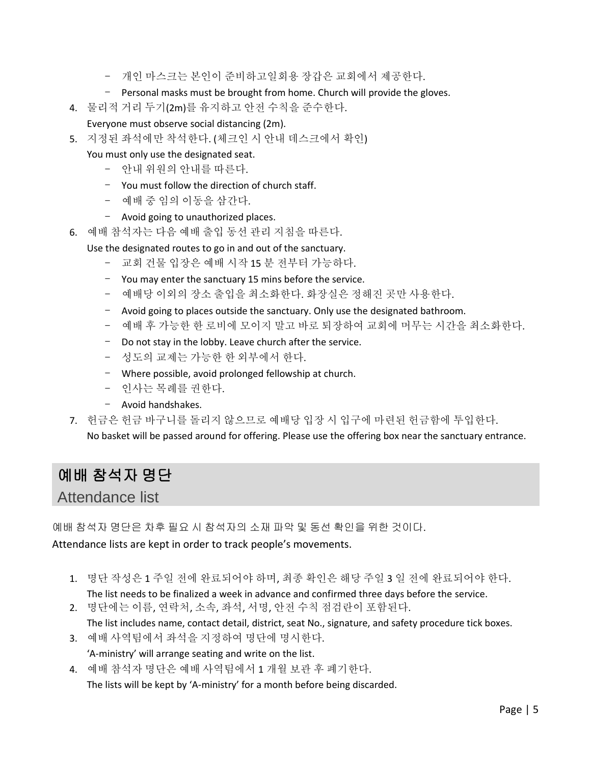- 개인 마스크는 본인이 준비하고일회용 장갑은 교회에서 제공한다.
- Personal masks must be brought from home. Church will provide the gloves.
- 4. 물리적 거리 두기(2m)를 유지하고 안전 수칙을 준수한다.
- Everyone must observe social distancing (2m).
- 5. 지정된 좌석에만 착석한다. (체크인 시 안내 데스크에서 확인)
	- You must only use the designated seat.
		- 안내 위원의 안내를 따른다.
		- You must follow the direction of church staff.
		- 예배 중 임의 이동을 삼간다.
		- Avoid going to unauthorized places.
- 6. 예배 참석자는 다음 예배 출입 동선 관리 지침을 따른다.
	- Use the designated routes to go in and out of the sanctuary.
		- 교회 건물 입장은 예배 시작 15 분 전부터 가능하다.
		- You may enter the sanctuary 15 mins before the service.
		- 예배당 이외의 장소 출입을 최소화한다. 화장실은 정해진 곳만 사용한다.
		- Avoid going to places outside the sanctuary. Only use the designated bathroom.
		- 예배 후 가능한 한 로비에 모이지 말고 바로 퇴장하여 교회에 머무는 시간을 최소화한다.
		- Do not stay in the lobby. Leave church after the service.
		- 성도의 교제는 가능한 한 외부에서 한다.
		- Where possible, avoid prolonged fellowship at church.
		- 인사는 목례를 권한다.
		- Avoid handshakes.
- 7. 헌금은 헌금 바구니를 돌리지 않으므로 예배당 입장 시 입구에 마련된 헌금함에 투입한다.

No basket will be passed around for offering. Please use the offering box near the sanctuary entrance.

### 예배 참석자 명단

Attendance list

예배 참석자 명단은 차후 필요 시 참석자의 소재 파악 및 동선 확인을 위한 것이다. Attendance lists are kept in order to track people's movements.

- 1. 명단 작성은 1 주일 전에 완료되어야 하며, 최종 확인은 해당 주일 3 일 전에 완료되어야 한다.
- The list needs to be finalized a week in advance and confirmed three days before the service. 2. 명단에는 이름, 연락처, 소속, 좌석, 서명, 안전 수칙 점검란이 포함된다.
- The list includes name, contact detail, district, seat No., signature, and safety procedure tick boxes.
- 3. 예배 사역팀에서 좌석을 지정하여 명단에 명시한다. 'A-ministry' will arrange seating and write on the list.
- 4. 예배 참석자 명단은 예배 사역팀에서 1 개월 보관 후 폐기한다.

The lists will be kept by 'A-ministry' for a month before being discarded.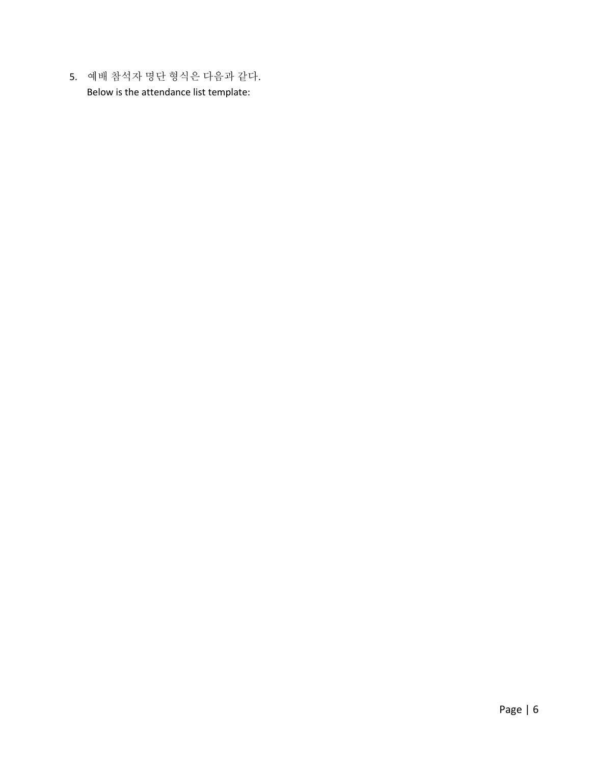5. 예배 참석자 명단 형식은 다음과 같다. Below is the attendance list template: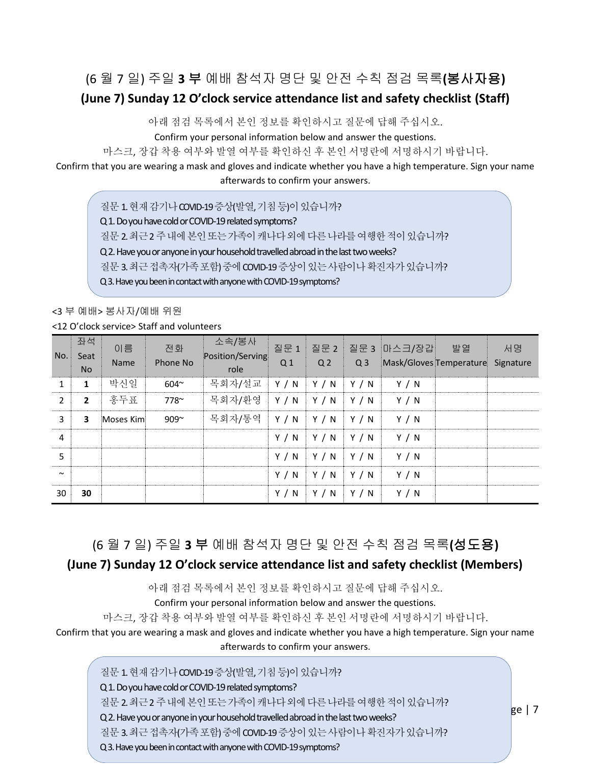#### (6 월 7 일) 주일 **3** 부 예배 참석자 명단 및 안전 수칙 점검 목록**(**봉사자용**)**

#### **(June 7) Sunday 12 O'clock service attendance list and safety checklist (Staff)**

아래 점검 목록에서 본인 정보를 확인하시고 질문에 답해 주십시오.

Confirm your personal information below and answer the questions.

마스크, 장갑 착용 여부와 발열 여부를 확인하신 후 본인 서명란에 서명하시기 바랍니다.

Confirm that you are wearing a mask and gloves and indicate whether you have a high temperature. Sign your name afterwards to confirm your answers.

질문 1. 현재 감기나 COVID-19 증상(발열, 기침 등)이 있습니까? Q 1. Do you have cold or COVID-19 related symptoms? 질문2. 최근2주내에본인또는가족이캐나다외에다른나라를여행한적이있습니까? Q 2. Have you or anyone in your household travelled abroad in the last two weeks? 질문3. 최근접촉자(가족포함) 중에COVID-19 증상이있는사람이나확진자가있습니까? Q 3. Have you been in contact with anyone with COVID-19 symptoms?

<3 부 예배> 봉사자/예배 위원

<12 O'clock service> Staff and volunteers

| No.            | 좌석<br>Seat<br><b>No</b> | 이름<br>Name | 전화<br>Phone No | 소속/봉사<br>Position/Serving<br>role | 질문 1<br>Q <sub>1</sub> | Q <sub>2</sub> | Q <sub>3</sub> | 질문 2 질문 3 마스크/장갑<br>Mask/Gloves Temperature | 발열 | 서명<br>Signature |
|----------------|-------------------------|------------|----------------|-----------------------------------|------------------------|----------------|----------------|---------------------------------------------|----|-----------------|
| 1              | $\mathbf{1}$            | 박신일        | $604^{\sim}$   | 목회자/설교                            | Y / N                  | Y / N          | Y / N          | Y / N                                       |    |                 |
| 2              | $\overline{2}$          | 홍두표        | 778~           | 목회자/환영                            | Y / N                  | Y / N          | Y / N          | Y / N                                       |    |                 |
| 3              | 3                       | Moses Kim  | $909^{\sim}$   | 목회자/통역                            | Y / N                  | Y / N          | Y / N          | Y / N                                       |    |                 |
| $\overline{4}$ |                         |            |                |                                   | Y / N                  | Y / N          | Y / N          | Y / N                                       |    |                 |
| 5              |                         |            |                |                                   | Y / N                  | Y / N          | Y / N          | Y / N                                       |    |                 |
| $\sim$         |                         |            |                |                                   | Y / N                  | Y / N          | Y/N            | Y / N                                       |    |                 |
| 30             | 30                      |            |                |                                   | Y / N                  | Y / N          | Y / N          | Y / N                                       |    |                 |

#### (6 월 7 일) 주일 **3** 부 예배 참석자 명단 및 안전 수칙 점검 목록**(**성도용**)**

#### **(June 7) Sunday 12 O'clock service attendance list and safety checklist (Members)**

아래 점검 목록에서 본인 정보를 확인하시고 질문에 답해 주십시오.

Confirm your personal information below and answer the questions.

마스크, 장갑 착용 여부와 발열 여부를 확인하신 후 본인 서명란에 서명하시기 바랍니다.

Confirm that you are wearing a mask and gloves and indicate whether you have a high temperature. Sign your name afterwards to confirm your answers.

질문 1. 현재 감기나 COVID-19 증상(발열, 기침 등)이 있습니까? Q 1. Do you have cold or COVID-19 related symptoms? 질문2. 최근2주내에본인또는가족이캐나다외에다른나라를여행한적이있습니까? Q 2. Have you or anyone in your household travelled abroad in the last two weeks? 질문 3. 최근접촉자(가족포함) 중에 COVID-19 증상이 있는 사람이나 확진자가 있습니까? Q 3. Have you been in contact with anyone with COVID-19 symptoms?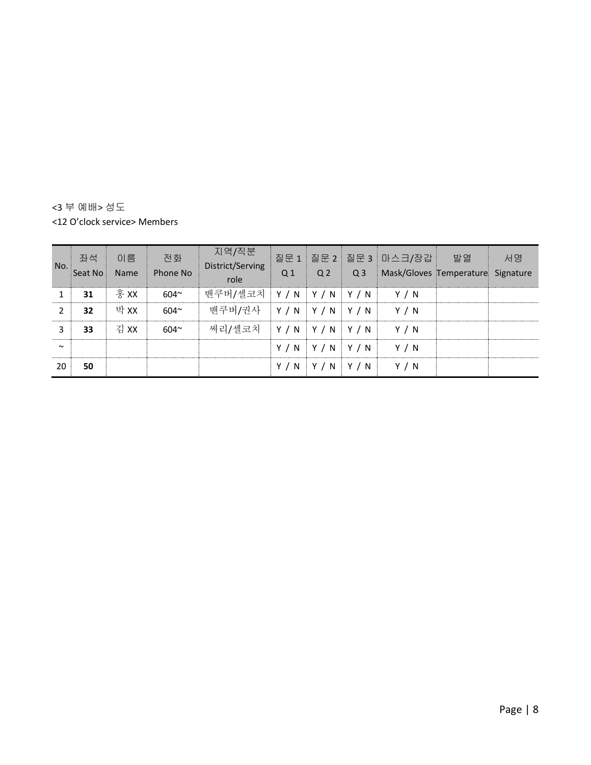<3 부 예배> 성도 <12 O'clock service> Members

| No.    | 잔석<br>Seat No | 이름<br><b>Name</b> | 전화<br>Phone No | 지역/직분<br>District/Serving<br>role | Q <sub>1</sub> | Q <sub>2</sub>    | Q <sub>3</sub> | 질문 1 질문 2 질문 3 마스크/장갑<br>Mask/Gloves Temperature Signature | 발열 | 서명 |
|--------|---------------|-------------------|----------------|-----------------------------------|----------------|-------------------|----------------|------------------------------------------------------------|----|----|
| 1      | 31            | 홍 XX              | 604~           | 밴쿠버/셀코치   Y / N   Y / N   Y / N   |                |                   |                | Y / N                                                      |    |    |
| 2      | 32            | 박 XX              | $604^{\circ}$  | 밴쿠버/권사   Y / N   Y / N   Y / N    |                |                   |                | Y / N                                                      |    |    |
| 3      | 33            | 김 XX              | $604^{\sim}$   | 써리/셀코치   Y / N   Y / N   Y / N    |                |                   |                | Y / N                                                      |    |    |
| $\sim$ |               |                   |                |                                   |                | $Y/N$ $Y/N$ $Y/N$ |                | Y / N                                                      |    |    |
| 20     | 50            |                   |                |                                   | Y / N          | $Y/N$ $Y/N$       |                | Y / N                                                      |    |    |